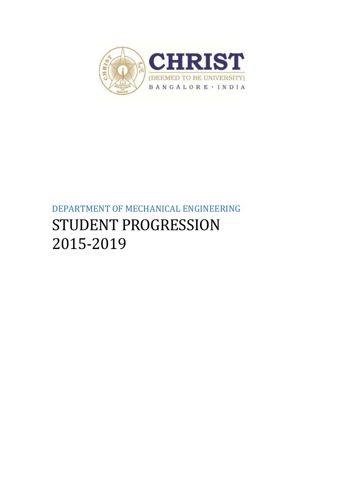

# DEPARTMENT OF MECHANICAL ENGINEERING STUDENT PROGRESSION 2015-2019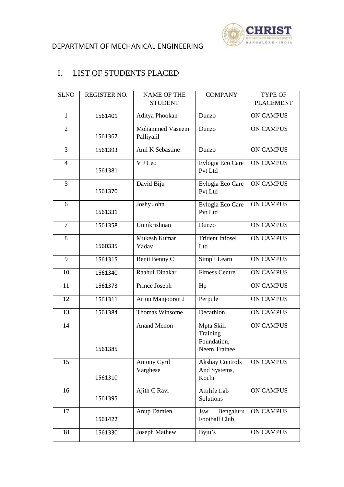

## DEPARTMENT OF MECHANICAL ENGINEERING

# I. LIST OF STUDENTS PLACED

| <b>SLNO</b>    | <b>REGISTER NO.</b> | <b>NAME OF THE</b>              | <b>COMPANY</b>                           | <b>TYPE OF</b>   |
|----------------|---------------------|---------------------------------|------------------------------------------|------------------|
|                |                     | <b>STUDENT</b>                  |                                          | <b>PLACEMENT</b> |
| $\mathbf{1}$   | 1561401             | Aditya Phookan                  | Dunzo                                    | <b>ON CAMPUS</b> |
| $\overline{2}$ |                     | <b>Mohammed Vaseem</b>          | Dunzo                                    | <b>ON CAMPUS</b> |
|                | 1561367             | Palliyalil                      |                                          |                  |
| 3              | 1561393             | Anil K Sebastine                | Dunzo                                    | <b>ON CAMPUS</b> |
| $\overline{4}$ |                     | V J Leo                         | Evlogia Eco Care                         | <b>ON CAMPUS</b> |
|                | 1561381             |                                 | Pvt Ltd                                  |                  |
| 5              |                     | David Biju                      | Evlogia Eco Care                         | <b>ON CAMPUS</b> |
|                | 1561370             |                                 | Pvt Ltd                                  |                  |
| 6              |                     | Joshy John                      | Evlogia Eco Care                         | <b>ON CAMPUS</b> |
|                | 1561331             |                                 | Pvt Ltd                                  |                  |
| $\overline{7}$ | 1561358             | Unnikrishnan                    | Dunzo                                    | <b>ON CAMPUS</b> |
| 8              |                     | Mukesh Kumar                    | <b>Trident Infosel</b>                   | <b>ON CAMPUS</b> |
|                | 1560335             | Yadav                           | Ltd                                      |                  |
| 9              | 1561315             | Benit Benny C                   | Simpli Learn                             | <b>ON CAMPUS</b> |
| 10             | 1561340             | Raahul Dinakar                  | <b>Fitness Centre</b>                    | <b>ON CAMPUS</b> |
| 11             | 1561373             | Prince Joseph                   | Hp                                       | <b>ON CAMPUS</b> |
| 12             | 1561311             | Arjun Manjooran J               | Perpule                                  | <b>ON CAMPUS</b> |
| 13             | 1561384             | <b>Thomas Winsome</b>           | Decathlon                                | <b>ON CAMPUS</b> |
| 14             |                     | <b>Anand Menon</b>              | Mpta Skill                               | <b>ON CAMPUS</b> |
|                |                     |                                 | Training<br>Foundation,                  |                  |
|                | 1561385             |                                 | Neem Trainee                             |                  |
|                |                     |                                 |                                          |                  |
| 15             |                     | <b>Antony Cyril</b><br>Varghese | <b>Akshay Controls</b><br>And Systems,   | <b>ON CAMPUS</b> |
|                | 1561310             |                                 | Kochi                                    |                  |
|                |                     |                                 |                                          |                  |
| 16             | 1561395             | Ajith C Ravi                    | Attilife Lab<br>Solutions                | <b>ON CAMPUS</b> |
|                |                     |                                 |                                          |                  |
| 17             |                     | Anup Damien                     | Bengaluru<br>Jsw<br><b>Football Club</b> | <b>ON CAMPUS</b> |
|                | 1561422             |                                 |                                          |                  |
| 18             | 1561330             | <b>Joseph Mathew</b>            | Byju's                                   | <b>ON CAMPUS</b> |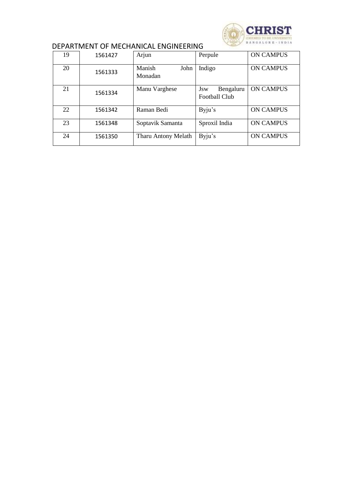

#### DEPARTMENT OF MECHANICAL ENGINEERING

| 19 | 1561427 | Arjun                     | Perpule                                  | <b>ON CAMPUS</b> |
|----|---------|---------------------------|------------------------------------------|------------------|
| 20 | 1561333 | John<br>Manish<br>Monadan | Indigo                                   | <b>ON CAMPUS</b> |
| 21 | 1561334 | Manu Varghese             | Bengaluru<br>Jsw<br><b>Football Club</b> | <b>ON CAMPUS</b> |
| 22 | 1561342 | Raman Bedi                | Byju's                                   | <b>ON CAMPUS</b> |
| 23 | 1561348 | Soptavik Samanta          | Sproxil India                            | <b>ON CAMPUS</b> |
| 24 | 1561350 | Tharu Antony Melath       | Byju's                                   | <b>ON CAMPUS</b> |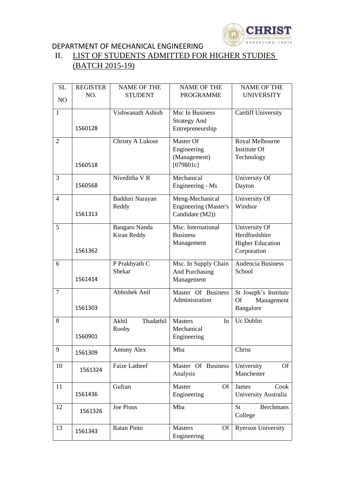

## DEPARTMENT OF MECHANICAL ENGINEERING<br>II. LIST OF STUDENTS ADMITTED FOR LIST OF STUDENTS ADMITTED FOR HIGHER STUDIES (BATCH 2015-19)

| SL             | <b>REGISTER</b> | <b>NAME OF THE</b>   | <b>NAME OF THE</b>           | <b>NAME OF THE</b>        |
|----------------|-----------------|----------------------|------------------------------|---------------------------|
|                | NO.             | <b>STUDENT</b>       | <b>PROGRAMME</b>             | <b>UNIVERSITY</b>         |
| NO             |                 |                      |                              |                           |
| $\mathbf{1}$   |                 | Vishwanath Ashish    | Msc In Business              | <b>Cardiff University</b> |
|                |                 |                      | <b>Strategy And</b>          |                           |
|                | 1560128         |                      |                              |                           |
|                |                 |                      | Entrepreneurship             |                           |
| $\overline{2}$ |                 | Christy A Lukose     | Master Of                    | Royal Melbourne           |
|                |                 |                      | Engineering                  | Institute Of              |
|                |                 |                      | (Management)                 | Technology                |
|                | 1560518         |                      | [079801c]                    |                           |
|                |                 |                      |                              |                           |
| 3              |                 | Niveditha V R        | Mechanical                   | University Of             |
|                | 1560568         |                      | Engineering - Ms             | Dayton                    |
|                |                 |                      |                              |                           |
| $\overline{4}$ |                 | Badduri Narayan      | Meng-Mechanical              | University Of             |
|                |                 | Reddy                | <b>Engineering (Master's</b> | Windsor                   |
|                | 1561313         |                      | Candidate (M2))              |                           |
| 5              |                 | Bangaru Nanda        | Msc. International           | University Of             |
|                |                 | Kiran Reddy          | <b>Business</b>              | Herdfordshire             |
|                |                 |                      |                              |                           |
|                | 1561362         |                      | Management                   | <b>Higher Education</b>   |
|                |                 |                      |                              | Corporation               |
| 6              |                 | P Prakhyath C        | Msc. In Supply Chain         | <b>Audencia Business</b>  |
|                |                 | Shekar               | And Purchasing               | School                    |
|                | 1561414         |                      | Management                   |                           |
|                |                 |                      |                              |                           |
| $\overline{7}$ |                 | Abhishek Anil        | Master Of Business           | St Joseph's Institute     |
|                |                 |                      | Administration               | <b>Of</b><br>Management   |
|                | 1561303         |                      |                              | Bangalore                 |
|                |                 | Thadathil<br>Akhil   |                              | Uc Dublin                 |
| 8              |                 |                      | <b>Masters</b><br>In         |                           |
|                |                 | Rooby                | Mechanical                   |                           |
|                | 1560901         |                      | Engineering                  |                           |
| 9              |                 | <b>Antony Alex</b>   | Mba                          | Christ                    |
|                | 1561309         |                      |                              |                           |
| 10             |                 | <b>Faize Latheef</b> | Master Of Business           | University<br><b>Of</b>   |
|                | 1561324         |                      | Analysis                     | Manchester                |
|                |                 |                      |                              |                           |
| 11             |                 | Gufran               | Master<br>Of                 | Cook<br>James             |
|                | 1561436         |                      | Engineering                  | University Australia      |
|                |                 |                      |                              |                           |
| 12             | 1561326         | Joe Pious            | Mba                          | <b>Berchmans</b><br>St    |
|                |                 |                      |                              | College                   |
| 13             |                 | <b>Ratan Pinto</b>   | <b>Masters</b><br><b>Of</b>  | <b>Ryerson University</b> |
|                | 1561343         |                      | Engineering                  |                           |
|                |                 |                      |                              |                           |